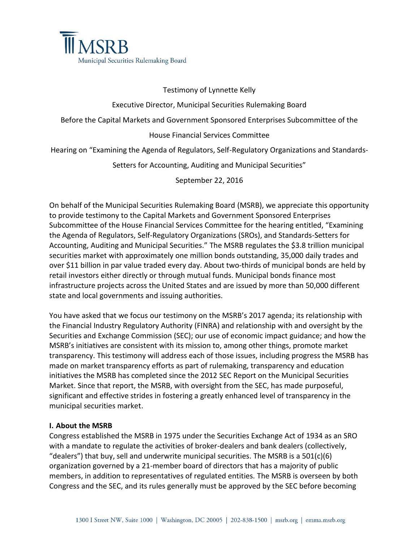

#### Testimony of Lynnette Kelly

#### Executive Director, Municipal Securities Rulemaking Board

Before the Capital Markets and Government Sponsored Enterprises Subcommittee of the

#### House Financial Services Committee

Hearing on "Examining the Agenda of Regulators, Self-Regulatory Organizations and Standards-

Setters for Accounting, Auditing and Municipal Securities"

September 22, 2016

On behalf of the Municipal Securities Rulemaking Board (MSRB), we appreciate this opportunity to provide testimony to the Capital Markets and Government Sponsored Enterprises Subcommittee of the House Financial Services Committee for the hearing entitled, "Examining the Agenda of Regulators, Self-Regulatory Organizations (SROs), and Standards-Setters for Accounting, Auditing and Municipal Securities." The MSRB regulates the \$3.8 trillion municipal securities market with approximately one million bonds outstanding, 35,000 daily trades and over \$11 billion in par value traded every day. About two-thirds of municipal bonds are held by retail investors either directly or through mutual funds. Municipal bonds finance most infrastructure projects across the United States and are issued by more than 50,000 different state and local governments and issuing authorities.

You have asked that we focus our testimony on the MSRB's 2017 agenda; its relationship with the Financial Industry Regulatory Authority (FINRA) and relationship with and oversight by the Securities and Exchange Commission (SEC); our use of economic impact guidance; and how the MSRB's initiatives are consistent with its mission to, among other things, promote market transparency. This testimony will address each of those issues, including progress the MSRB has made on market transparency efforts as part of rulemaking, transparency and education initiatives the MSRB has completed since the 2012 SEC Report on the Municipal Securities Market. Since that report, the MSRB, with oversight from the SEC, has made purposeful, significant and effective strides in fostering a greatly enhanced level of transparency in the municipal securities market.

#### **I. About the MSRB**

Congress established the MSRB in 1975 under the Securities Exchange Act of 1934 as an SRO with a mandate to regulate the activities of broker-dealers and bank dealers (collectively, "dealers") that buy, sell and underwrite municipal securities. The MSRB is a  $501(c)(6)$ organization governed by a 21-member board of directors that has a majority of public members, in addition to representatives of regulated entities. The MSRB is overseen by both Congress and the SEC, and its rules generally must be approved by the SEC before becoming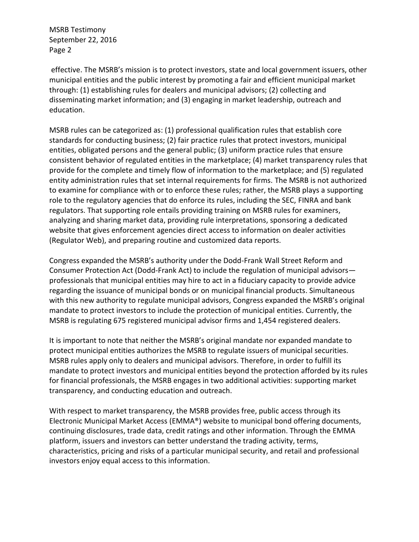effective. The MSRB's mission is to protect investors, state and local government issuers, other municipal entities and the public interest by promoting a fair and efficient municipal market through: (1) establishing rules for dealers and municipal advisors; (2) collecting and disseminating market information; and (3) engaging in market leadership, outreach and education.

MSRB rules can be categorized as: (1) professional qualification rules that establish core standards for conducting business; (2) fair practice rules that protect investors, municipal entities, obligated persons and the general public; (3) uniform practice rules that ensure consistent behavior of regulated entities in the marketplace; (4) market transparency rules that provide for the complete and timely flow of information to the marketplace; and (5) regulated entity administration rules that set internal requirements for firms. The MSRB is not authorized to examine for compliance with or to enforce these rules; rather, the MSRB plays a supporting role to the regulatory agencies that do enforce its rules, including the SEC, FINRA and bank regulators. That supporting role entails providing training on MSRB rules for examiners, analyzing and sharing market data, providing rule interpretations, sponsoring a dedicated website that gives enforcement agencies direct access to information on dealer activities (Regulator Web), and preparing routine and customized data reports.

Congress expanded the MSRB's authority under the Dodd-Frank Wall Street Reform and Consumer Protection Act (Dodd-Frank Act) to include the regulation of municipal advisors professionals that municipal entities may hire to act in a fiduciary capacity to provide advice regarding the issuance of municipal bonds or on municipal financial products. Simultaneous with this new authority to regulate municipal advisors, Congress expanded the MSRB's original mandate to protect investors to include the protection of municipal entities. Currently, the MSRB is regulating 675 registered municipal advisor firms and 1,454 registered dealers.

It is important to note that neither the MSRB's original mandate nor expanded mandate to protect municipal entities authorizes the MSRB to regulate issuers of municipal securities. MSRB rules apply only to dealers and municipal advisors. Therefore, in order to fulfill its mandate to protect investors and municipal entities beyond the protection afforded by its rules for financial professionals, the MSRB engages in two additional activities: supporting market transparency, and conducting education and outreach.

With respect to market transparency, the MSRB provides free, public access through its Electronic Municipal Market Access (EMMA®) website to municipal bond offering documents, continuing disclosures, trade data, credit ratings and other information. Through the EMMA platform, issuers and investors can better understand the trading activity, terms, characteristics, pricing and risks of a particular municipal security, and retail and professional investors enjoy equal access to this information.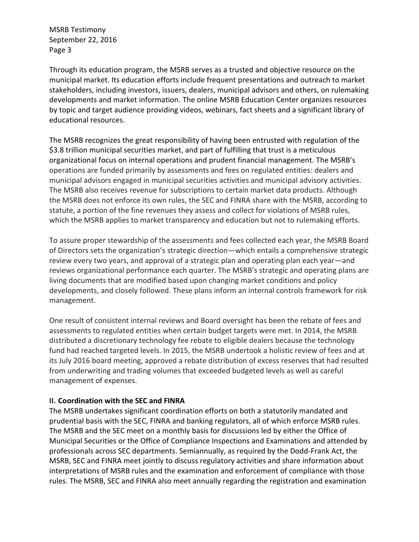Through its education program, the MSRB serves as a trusted and objective resource on the municipal market. Its education efforts include frequent presentations and outreach to market stakeholders, including investors, issuers, dealers, municipal advisors and others, on rulemaking developments and market information. The online MSRB Education Center organizes resources by topic and target audience providing videos, webinars, fact sheets and a significant library of educational resources.

The MSRB recognizes the great responsibility of having been entrusted with regulation of the \$3.8 trillion municipal securities market, and part of fulfilling that trust is a meticulous organizational focus on internal operations and prudent financial management. The MSRB's operations are funded primarily by assessments and fees on regulated entities: dealers and municipal advisors engaged in municipal securities activities and municipal advisory activities. The MSRB also receives revenue for subscriptions to certain market data products. Although the MSRB does not enforce its own rules, the SEC and FINRA share with the MSRB, according to statute, a portion of the fine revenues they assess and collect for violations of MSRB rules, which the MSRB applies to market transparency and education but not to rulemaking efforts.

To assure proper stewardship of the assessments and fees collected each year, the MSRB Board of Directors sets the organization's strategic direction—which entails a comprehensive strategic review every two years, and approval of a strategic plan and operating plan each year—and reviews organizational performance each quarter. The MSRB's strategic and operating plans are living documents that are modified based upon changing market conditions and policy developments, and closely followed. These plans inform an internal controls framework for risk management.

One result of consistent internal reviews and Board oversight has been the rebate of fees and assessments to regulated entities when certain budget targets were met. In 2014, the MSRB distributed a discretionary technology fee rebate to eligible dealers because the technology fund had reached targeted levels. In 2015, the MSRB undertook a holistic review of fees and at its July 2016 board meeting, approved a rebate distribution of excess reserves that had resulted from underwriting and trading volumes that exceeded budgeted levels as well as careful management of expenses.

#### **II. Coordination with the SEC and FINRA**

The MSRB undertakes significant coordination efforts on both a statutorily mandated and prudential basis with the SEC, FINRA and banking regulators, all of which enforce MSRB rules. The MSRB and the SEC meet on a monthly basis for discussions led by either the Office of Municipal Securities or the Office of Compliance Inspections and Examinations and attended by professionals across SEC departments. Semiannually, as required by the Dodd-Frank Act, the MSRB, SEC and FINRA meet jointly to discuss regulatory activities and share information about interpretations of MSRB rules and the examination and enforcement of compliance with those rules. The MSRB, SEC and FINRA also meet annually regarding the registration and examination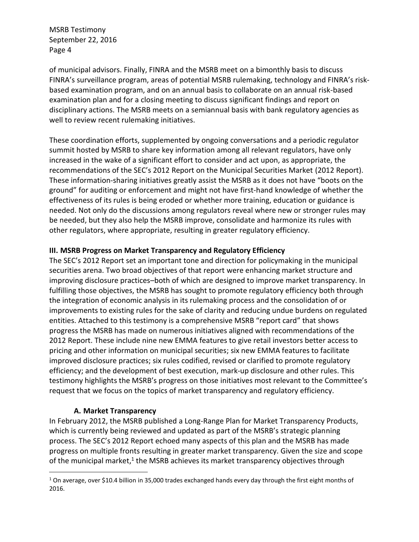of municipal advisors. Finally, FINRA and the MSRB meet on a bimonthly basis to discuss FINRA's surveillance program, areas of potential MSRB rulemaking, technology and FINRA's riskbased examination program, and on an annual basis to collaborate on an annual risk-based examination plan and for a closing meeting to discuss significant findings and report on disciplinary actions. The MSRB meets on a semiannual basis with bank regulatory agencies as well to review recent rulemaking initiatives.

These coordination efforts, supplemented by ongoing conversations and a periodic regulator summit hosted by MSRB to share key information among all relevant regulators, have only increased in the wake of a significant effort to consider and act upon, as appropriate, the recommendations of the SEC's 2012 Report on the Municipal Securities Market (2012 Report). These information-sharing initiatives greatly assist the MSRB as it does not have "boots on the ground" for auditing or enforcement and might not have first-hand knowledge of whether the effectiveness of its rules is being eroded or whether more training, education or guidance is needed. Not only do the discussions among regulators reveal where new or stronger rules may be needed, but they also help the MSRB improve, consolidate and harmonize its rules with other regulators, where appropriate, resulting in greater regulatory efficiency.

#### **III. MSRB Progress on Market Transparency and Regulatory Efficiency**

The SEC's 2012 Report set an important tone and direction for policymaking in the municipal securities arena. Two broad objectives of that report were enhancing market structure and improving disclosure practices–both of which are designed to improve market transparency. In fulfilling those objectives, the MSRB has sought to promote regulatory efficiency both through the integration of economic analysis in its rulemaking process and the consolidation of or improvements to existing rules for the sake of clarity and reducing undue burdens on regulated entities. Attached to this testimony is a comprehensive MSRB "report card" that shows progress the MSRB has made on numerous initiatives aligned with recommendations of the 2012 Report. These include nine new EMMA features to give retail investors better access to pricing and other information on municipal securities; six new EMMA features to facilitate improved disclosure practices; six rules codified, revised or clarified to promote regulatory efficiency; and the development of best execution, mark-up disclosure and other rules. This testimony highlights the MSRB's progress on those initiatives most relevant to the Committee's request that we focus on the topics of market transparency and regulatory efficiency.

#### **A. Market Transparency**

 $\overline{a}$ 

In February 2012, the MSRB published a Long-Range Plan for Market Transparency Products, which is currently being reviewed and updated as part of the MSRB's strategic planning process. The SEC's 2012 Report echoed many aspects of this plan and the MSRB has made progress on multiple fronts resulting in greater market transparency. Given the size and scope of the municipal market,<sup>1</sup> the MSRB achieves its market transparency objectives through

 $1$  On average, over \$10.4 billion in 35,000 trades exchanged hands every day through the first eight months of 2016.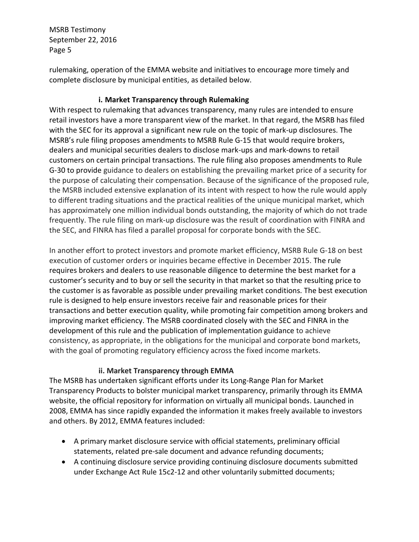rulemaking, operation of the EMMA website and initiatives to encourage more timely and complete disclosure by municipal entities, as detailed below.

### **i. Market Transparency through Rulemaking**

With respect to rulemaking that advances transparency, many rules are intended to ensure retail investors have a more transparent view of the market. In that regard, the MSRB has filed with the SEC for its approval a significant new rule on the topic of mark-up disclosures. The MSRB's rule filing proposes amendments to MSRB Rule G-15 that would require brokers, dealers and municipal securities dealers to disclose mark-ups and mark-downs to retail customers on certain principal transactions. The rule filing also proposes amendments to Rule G-30 to provide guidance to dealers on establishing the prevailing market price of a security for the purpose of calculating their compensation. Because of the significance of the proposed rule, the MSRB included extensive explanation of its intent with respect to how the rule would apply to different trading situations and the practical realities of the unique municipal market, which has approximately one million individual bonds outstanding, the majority of which do not trade frequently. The rule filing on mark-up disclosure was the result of coordination with FINRA and the SEC, and FINRA has filed a parallel proposal for corporate bonds with the SEC.

In another effort to protect investors and promote market efficiency, MSRB Rule G-18 on best execution of customer orders or inquiries became effective in December 2015. The rule requires brokers and dealers to use reasonable diligence to determine the best market for a customer's security and to buy or sell the security in that market so that the resulting price to the customer is as favorable as possible under prevailing market conditions. The best execution rule is designed to help ensure investors receive fair and reasonable prices for their transactions and better execution quality, while promoting fair competition among brokers and improving market efficiency. The MSRB coordinated closely with the SEC and FINRA in the development of this rule and the publication of implementation guidance to achieve consistency, as appropriate, in the obligations for the municipal and corporate bond markets, with the goal of promoting regulatory efficiency across the fixed income markets.

#### **ii. Market Transparency through EMMA**

The MSRB has undertaken significant efforts under its Long-Range Plan for Market Transparency Products to bolster municipal market transparency, primarily through its EMMA website, the official repository for information on virtually all municipal bonds. Launched in 2008, EMMA has since rapidly expanded the information it makes freely available to investors and others. By 2012, EMMA features included:

- A primary market disclosure service with official statements, preliminary official statements, related pre-sale document and advance refunding documents;
- A continuing disclosure service providing continuing disclosure documents submitted under Exchange Act Rule 15c2-12 and other voluntarily submitted documents;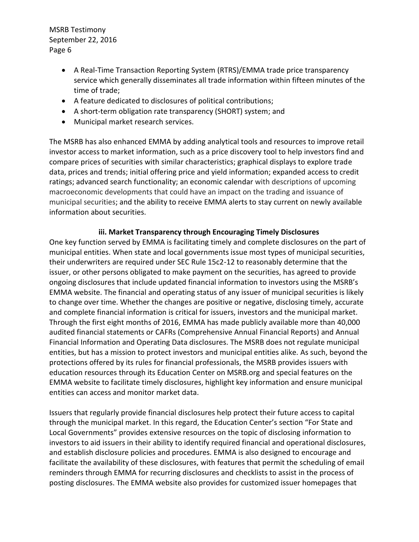- A Real-Time Transaction Reporting System (RTRS)/EMMA trade price transparency service which generally disseminates all trade information within fifteen minutes of the time of trade;
- A feature dedicated to disclosures of political contributions;
- A short-term obligation rate transparency (SHORT) system; and
- Municipal market research services.

The MSRB has also enhanced EMMA by adding analytical tools and resources to improve retail investor access to market information, such as a price discovery tool to help investors find and compare prices of securities with similar characteristics; graphical displays to explore trade data, prices and trends; initial offering price and yield information; expanded access to credit ratings; advanced search functionality; an economic calendar with descriptions of upcoming macroeconomic developments that could have an impact on the trading and issuance of municipal securities; and the ability to receive EMMA alerts to stay current on newly available information about securities.

#### **iii. Market Transparency through Encouraging Timely Disclosures**

One key function served by EMMA is facilitating timely and complete disclosures on the part of municipal entities. When state and local governments issue most types of municipal securities, their underwriters are required under SEC Rule 15c2-12 to reasonably determine that the issuer, or other persons obligated to make payment on the securities, has agreed to provide ongoing disclosures that include updated financial information to investors using the MSRB's EMMA website. The financial and operating status of any issuer of municipal securities is likely to change over time. Whether the changes are positive or negative, disclosing timely, accurate and complete financial information is critical for issuers, investors and the municipal market. Through the first eight months of 2016, EMMA has made publicly available more than 40,000 audited financial statements or CAFRs (Comprehensive Annual Financial Reports) and Annual Financial Information and Operating Data disclosures. The MSRB does not regulate municipal entities, but has a mission to protect investors and municipal entities alike. As such, beyond the protections offered by its rules for financial professionals, the MSRB provides issuers with education resources through its Education Center on MSRB.org and special features on the EMMA website to facilitate timely disclosures, highlight key information and ensure municipal entities can access and monitor market data.

Issuers that regularly provide financial disclosures help protect their future access to capital through the municipal market. In this regard, the Education Center's section "For State and Local Governments" provides extensive resources on the topic of disclosing information to investors to aid issuers in their ability to identify required financial and operational disclosures, and establish disclosure policies and procedures. EMMA is also designed to encourage and facilitate the availability of these disclosures, with features that permit the scheduling of email reminders through EMMA for recurring disclosures and checklists to assist in the process of posting disclosures. The EMMA website also provides for customized issuer homepages that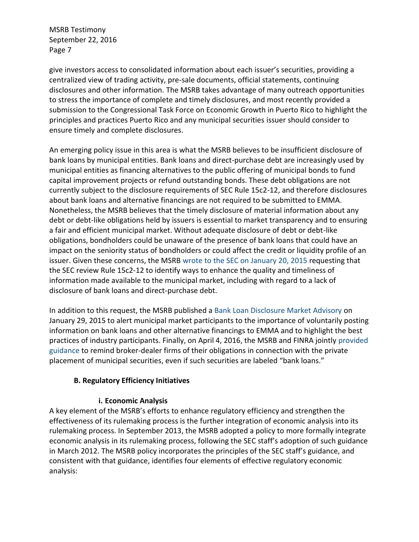give investors access to consolidated information about each issuer's securities, providing a centralized view of trading activity, pre-sale documents, official statements, continuing disclosures and other information. The MSRB takes advantage of many outreach opportunities to stress the importance of complete and timely disclosures, and most recently provided a submission to the Congressional Task Force on Economic Growth in Puerto Rico to highlight the principles and practices Puerto Rico and any municipal securities issuer should consider to ensure timely and complete disclosures.

An emerging policy issue in this area is what the MSRB believes to be insufficient disclosure of bank loans by municipal entities. Bank loans and direct-purchase debt are increasingly used by municipal entities as financing alternatives to the public offering of municipal bonds to fund capital improvement projects or refund outstanding bonds. These debt obligations are not currently subject to the disclosure requirements of SEC Rule 15c2-12, and therefore disclosures about bank loans and alternative financings are not required to be submitted to EMMA. Nonetheless, the MSRB believes that the timely disclosure of material information about any debt or debt-like obligations held by issuers is essential to market transparency and to ensuring a fair and efficient municipal market. Without adequate disclosure of debt or debt-like obligations, bondholders could be unaware of the presence of bank loans that could have an impact on the seniority status of bondholders or could affect the credit or liquidity profile of an issuer. Given these concerns, the MSRB [wrote to the SEC on January 20, 2015](http://www.msrb.org/en/News-and-Events/Press-Releases/2015/MSRB-Urges-SEC-to-Revisit-Municipal-Market-Disclosure-Rule) requesting that the SEC review Rule 15c2-12 to identify ways to enhance the quality and timeliness of information made available to the municipal market, including with regard to a lack of disclosure of bank loans and direct-purchase debt.

In addition to this request, the MSRB published a [Bank Loan Disclosure Market Advisory](http://www.msrb.org/~/media/Files/Regulatory-Notices/Announcements/2015-03.ashx) on January 29, 2015 to alert municipal market participants to the importance of voluntarily posting information on bank loans and other alternative financings to EMMA and to highlight the best practices of industry participants. Finally, on April 4, 2016, the MSRB and FINRA jointly [provided](http://www.msrb.org/~/media/Files/Regulatory-Notices/Announcements/2016-12.ashx)  [guidance](http://www.msrb.org/~/media/Files/Regulatory-Notices/Announcements/2016-12.ashx) to remind broker-dealer firms of their obligations in connection with the private placement of municipal securities, even if such securities are labeled "bank loans."

#### **B. Regulatory Efficiency Initiatives**

#### **i. Economic Analysis**

A key element of the MSRB's efforts to enhance regulatory efficiency and strengthen the effectiveness of its rulemaking process is the further integration of economic analysis into its rulemaking process. In September 2013, the MSRB adopted a policy to more formally integrate economic analysis in its rulemaking process, following the SEC staff's adoption of such guidance in March 2012. The MSRB policy incorporates the principles of the SEC staff's guidance, and consistent with that guidance, identifies four elements of effective regulatory economic analysis: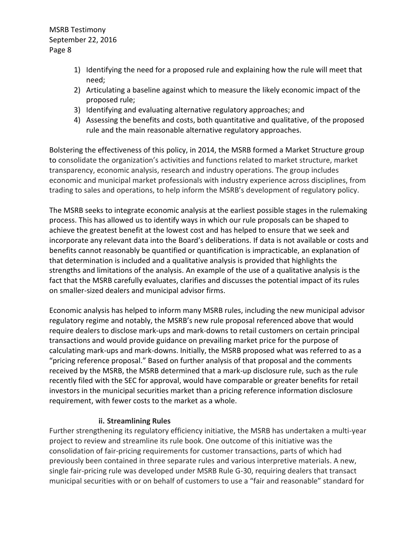- 1) Identifying the need for a proposed rule and explaining how the rule will meet that need;
- 2) Articulating a baseline against which to measure the likely economic impact of the proposed rule;
- 3) Identifying and evaluating alternative regulatory approaches; and
- 4) Assessing the benefits and costs, both quantitative and qualitative, of the proposed rule and the main reasonable alternative regulatory approaches.

Bolstering the effectiveness of this policy, in 2014, the MSRB formed a Market Structure group to consolidate the organization's activities and functions related to market structure, market transparency, economic analysis, research and industry operations. The group includes economic and municipal market professionals with industry experience across disciplines, from trading to sales and operations, to help inform the MSRB's development of regulatory policy.

The MSRB seeks to integrate economic analysis at the earliest possible stages in the rulemaking process. This has allowed us to identify ways in which our rule proposals can be shaped to achieve the greatest benefit at the lowest cost and has helped to ensure that we seek and incorporate any relevant data into the Board's deliberations. If data is not available or costs and benefits cannot reasonably be quantified or quantification is impracticable, an explanation of that determination is included and a qualitative analysis is provided that highlights the strengths and limitations of the analysis. An example of the use of a qualitative analysis is the fact that the MSRB carefully evaluates, clarifies and discusses the potential impact of its rules on smaller-sized dealers and municipal advisor firms.

Economic analysis has helped to inform many MSRB rules, including the new municipal advisor regulatory regime and notably, the MSRB's new rule proposal referenced above that would require dealers to disclose mark-ups and mark-downs to retail customers on certain principal transactions and would provide guidance on prevailing market price for the purpose of calculating mark-ups and mark-downs. Initially, the MSRB proposed what was referred to as a "pricing reference proposal." Based on further analysis of that proposal and the comments received by the MSRB, the MSRB determined that a mark-up disclosure rule, such as the rule recently filed with the SEC for approval, would have comparable or greater benefits for retail investors in the municipal securities market than a pricing reference information disclosure requirement, with fewer costs to the market as a whole.

#### **ii. Streamlining Rules**

Further strengthening its regulatory efficiency initiative, the MSRB has undertaken a multi-year project to review and streamline its rule book. One outcome of this initiative was the consolidation of fair-pricing requirements for customer transactions, parts of which had previously been contained in three separate rules and various interpretive materials. A new, single fair-pricing rule was developed under MSRB Rule G-30, requiring dealers that transact municipal securities with or on behalf of customers to use a "fair and reasonable" standard for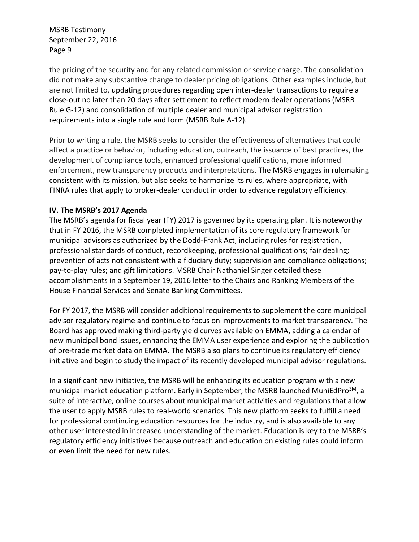the pricing of the security and for any related commission or service charge. The consolidation did not make any substantive change to dealer pricing obligations. Other examples include, but are not limited to, updating procedures regarding open inter-dealer transactions to require a close-out no later than 20 days after settlement to reflect modern dealer operations (MSRB Rule G-12) and consolidation of multiple dealer and municipal advisor registration requirements into a single rule and form (MSRB Rule A-12).

Prior to writing a rule, the MSRB seeks to consider the effectiveness of alternatives that could affect a practice or behavior, including education, outreach, the issuance of best practices, the development of compliance tools, enhanced professional qualifications, more informed enforcement, new transparency products and interpretations. The MSRB engages in rulemaking consistent with its mission, but also seeks to harmonize its rules, where appropriate, with FINRA rules that apply to broker-dealer conduct in order to advance regulatory efficiency.

#### **IV. The MSRB's 2017 Agenda**

The MSRB's agenda for fiscal year (FY) 2017 is governed by its operating plan. It is noteworthy that in FY 2016, the MSRB completed implementation of its core regulatory framework for municipal advisors as authorized by the Dodd-Frank Act, including rules for registration, professional standards of conduct, recordkeeping, professional qualifications; fair dealing; prevention of acts not consistent with a fiduciary duty; supervision and compliance obligations; pay-to-play rules; and gift limitations. MSRB Chair Nathaniel Singer detailed these accomplishments in a September 19, 2016 letter to the Chairs and Ranking Members of the House Financial Services and Senate Banking Committees.

For FY 2017, the MSRB will consider additional requirements to supplement the core municipal advisor regulatory regime and continue to focus on improvements to market transparency. The Board has approved making third-party yield curves available on EMMA, adding a calendar of new municipal bond issues, enhancing the EMMA user experience and exploring the publication of pre-trade market data on EMMA. The MSRB also plans to continue its regulatory efficiency initiative and begin to study the impact of its recently developed municipal advisor regulations.

In a significant new initiative, the MSRB will be enhancing its education program with a new municipal market education platform. Early in September, the MSRB launched MuniEdPro<sup>SM</sup>, a suite of interactive, online courses about municipal market activities and regulations that allow the user to apply MSRB rules to real-world scenarios. This new platform seeks to fulfill a need for professional continuing education resources for the industry, and is also available to any other user interested in increased understanding of the market. Education is key to the MSRB's regulatory efficiency initiatives because outreach and education on existing rules could inform or even limit the need for new rules.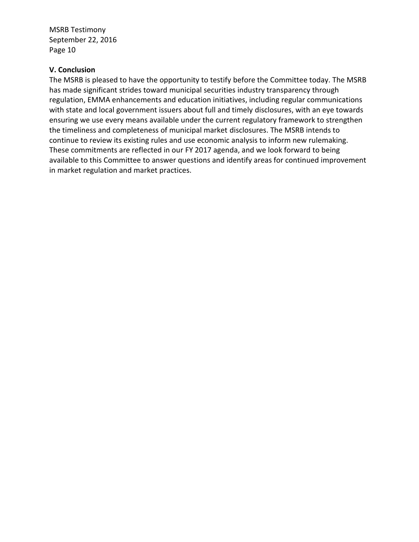#### **V. Conclusion**

The MSRB is pleased to have the opportunity to testify before the Committee today. The MSRB has made significant strides toward municipal securities industry transparency through regulation, EMMA enhancements and education initiatives, including regular communications with state and local government issuers about full and timely disclosures, with an eye towards ensuring we use every means available under the current regulatory framework to strengthen the timeliness and completeness of municipal market disclosures. The MSRB intends to continue to review its existing rules and use economic analysis to inform new rulemaking. These commitments are reflected in our FY 2017 agenda, and we look forward to being available to this Committee to answer questions and identify areas for continued improvement in market regulation and market practices.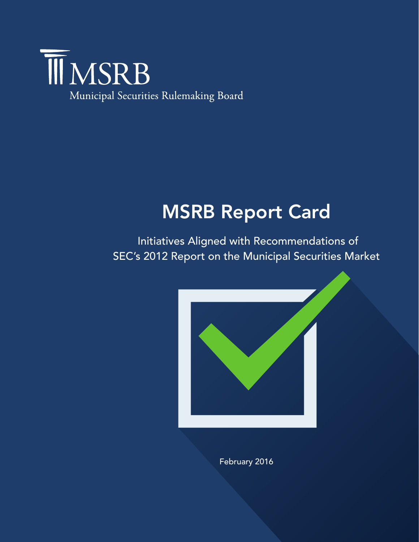

# MSRB Report Card

Initiatives Aligned with Recommendations of SEC's 2012 Report on the Municipal Securities Market



February 2016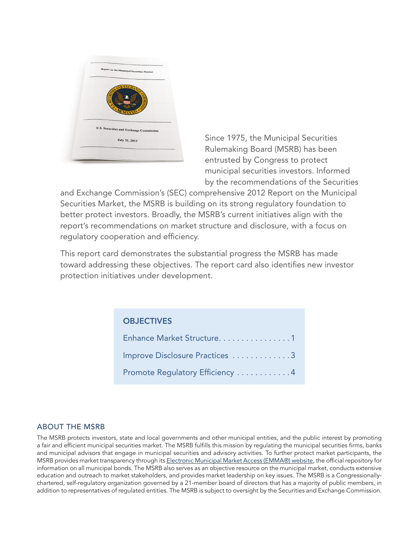

Since 1975, the Municipal Securities Rulemaking Board (MSRB) has been entrusted by Congress to protect municipal securities investors. Informed by the recommendations of the Securities

and Exchange Commission's (SEC) comprehensive 2012 Report on the Municipal Securities Market, the MSRB is building on its strong regulatory foundation to better protect investors. Broadly, the MSRB's current initiatives align with the report's recommendations on market structure and disclosure, with a focus on regulatory cooperation and efficiency.

This report card demonstrates the substantial progress the MSRB has made toward addressing these objectives. The report card also identifies new investor protection initiatives under development.

## **OBJECTIVES**

| Enhance Market Structure. 1     |
|---------------------------------|
| Improve Disclosure Practices 3  |
| Promote Regulatory Efficiency 4 |

#### ABOUT THE MSRB

The MSRB protects investors, state and local governments and other municipal entities, and the public interest by promoting a fair and efficient municipal securities market. The MSRB fulfills this mission by regulating the municipal securities firms, banks and municipal advisors that engage in municipal securities and advisory activities. To further protect market participants, the MSRB provides market transparency through its [Electronic Municipal Market Access \(EMMA®\) website,](emma.msrb.org) the official repository for information on all municipal bonds. The MSRB also serves as an objective resource on the municipal market, conducts extensive education and outreach to market stakeholders, and provides market leadership on key issues. The MSRB is a Congressionallychartered, self-regulatory organization governed by a 21-member board of directors that has a majority of public members, in addition to representatives of regulated entities. The MSRB is subject to oversight by the Securities and Exchange Commission.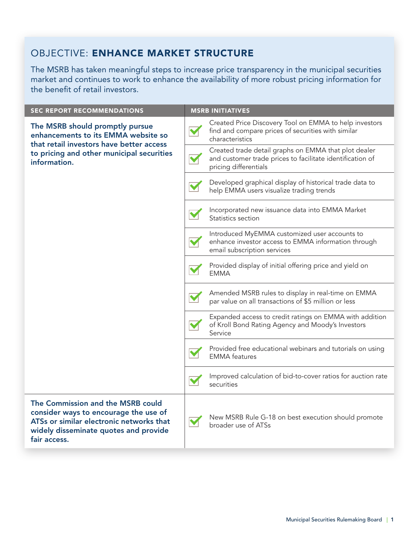## OBJECTIVE: ENHANCE MARKET STRUCTURE

The MSRB has taken meaningful steps to increase price transparency in the municipal securities market and continues to work to enhance the availability of more robust pricing information for the benefit of retail investors.

| <b>SEC REPORT RECOMMENDATIONS</b>                                                                                                                                               | <b>MSRB INITIATIVES</b> |                                                                                                                                            |
|---------------------------------------------------------------------------------------------------------------------------------------------------------------------------------|-------------------------|--------------------------------------------------------------------------------------------------------------------------------------------|
| The MSRB should promptly pursue<br>enhancements to its EMMA website so<br>that retail investors have better access<br>to pricing and other municipal securities<br>information. | $\blacktriangledown$    | Created Price Discovery Tool on EMMA to help investors<br>find and compare prices of securities with similar<br>characteristics            |
|                                                                                                                                                                                 | $\blacktriangledown$    | Created trade detail graphs on EMMA that plot dealer<br>and customer trade prices to facilitate identification of<br>pricing differentials |
|                                                                                                                                                                                 | $\blacktriangledown$    | Developed graphical display of historical trade data to<br>help EMMA users visualize trading trends                                        |
|                                                                                                                                                                                 |                         | Incorporated new issuance data into EMMA Market<br>Statistics section                                                                      |
|                                                                                                                                                                                 |                         | Introduced MyEMMA customized user accounts to<br>enhance investor access to EMMA information through<br>email subscription services        |
|                                                                                                                                                                                 |                         | Provided display of initial offering price and yield on<br><b>EMMA</b>                                                                     |
|                                                                                                                                                                                 | $\blacktriangledown$    | Amended MSRB rules to display in real-time on EMMA<br>par value on all transactions of \$5 million or less                                 |
|                                                                                                                                                                                 |                         | Expanded access to credit ratings on EMMA with addition<br>of Kroll Bond Rating Agency and Moody's Investors<br>Service                    |
|                                                                                                                                                                                 |                         | Provided free educational webinars and tutorials on using<br><b>EMMA</b> features                                                          |
|                                                                                                                                                                                 |                         | Improved calculation of bid-to-cover ratios for auction rate<br>securities                                                                 |
| The Commission and the MSRB could<br>consider ways to encourage the use of<br>ATSs or similar electronic networks that<br>widely disseminate quotes and provide<br>fair access. | $\blacktriangledown$    | New MSRB Rule G-18 on best execution should promote<br>broader use of ATSs                                                                 |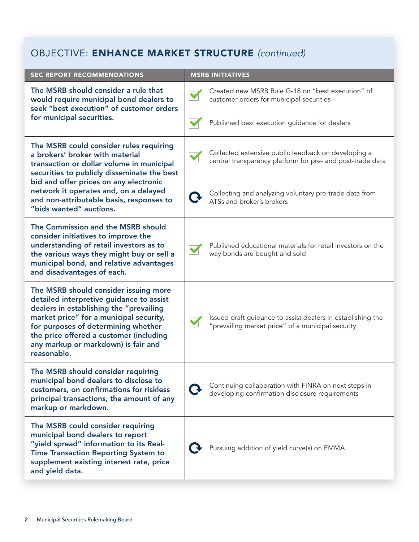# OBJECTIVE: ENHANCE MARKET STRUCTURE *(continued)*

| <b>SEC REPORT RECOMMENDATIONS</b>                                                                                                                                                                                                                                                                                                |                      | <b>MSRB INITIATIVES</b>                                                                                           |
|----------------------------------------------------------------------------------------------------------------------------------------------------------------------------------------------------------------------------------------------------------------------------------------------------------------------------------|----------------------|-------------------------------------------------------------------------------------------------------------------|
| The MSRB should consider a rule that<br>would require municipal bond dealers to<br>seek "best execution" of customer orders<br>for municipal securities.                                                                                                                                                                         | $\blacktriangledown$ | Created new MSRB Rule G-18 on "best execution" of<br>customer orders for municipal securities                     |
|                                                                                                                                                                                                                                                                                                                                  |                      | Published best execution guidance for dealers                                                                     |
| The MSRB could consider rules requiring<br>a brokers' broker with material<br>transaction or dollar volume in municipal<br>securities to publicly disseminate the best<br>bid and offer prices on any electronic<br>network it operates and, on a delayed<br>and non-attributable basis, responses to<br>"bids wanted" auctions. | M                    | Collected extensive public feedback on developing a<br>central transparency platform for pre- and post-trade data |
|                                                                                                                                                                                                                                                                                                                                  | $\mathbf G$          | Collecting and analyzing voluntary pre-trade data from<br>ATSs and broker's brokers                               |
| The Commission and the MSRB should<br>consider initiatives to improve the<br>understanding of retail investors as to<br>the various ways they might buy or sell a<br>municipal bond, and relative advantages<br>and disadvantages of each.                                                                                       | M                    | Published educational materials for retail investors on the<br>way bonds are bought and sold                      |
| The MSRB should consider issuing more<br>detailed interpretive guidance to assist<br>dealers in establishing the "prevailing<br>market price" for a municipal security,<br>for purposes of determining whether<br>the price offered a customer (including<br>any markup or markdown) is fair and<br>reasonable.                  | M                    | Issued draft guidance to assist dealers in establishing the<br>"prevailing market price" of a municipal security  |
| The MSRB should consider requiring<br>municipal bond dealers to disclose to<br>customers, on confirmations for riskless<br>principal transactions, the amount of any<br>markup or markdown.                                                                                                                                      | $\mathbf G$          | Continuing collaboration with FINRA on next steps in<br>developing confirmation disclosure requirements           |
| The MSRB could consider requiring<br>municipal bond dealers to report<br>"yield spread" information to its Real-<br><b>Time Transaction Reporting System to</b><br>supplement existing interest rate, price<br>and yield data.                                                                                                   | $\ddot{\mathbf{v}}$  | Pursuing addition of yield curve(s) on EMMA                                                                       |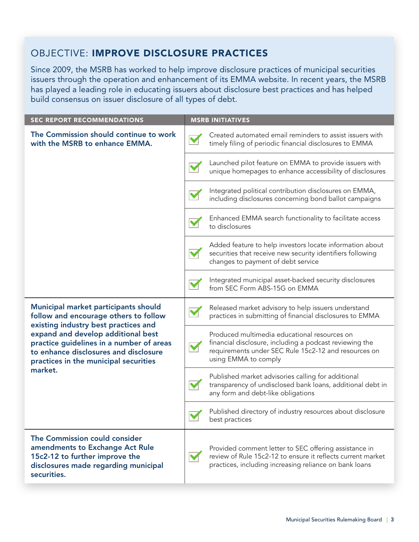## OBJECTIVE: IMPROVE DISCLOSURE PRACTICES

Since 2009, the MSRB has worked to help improve disclosure practices of municipal securities issuers through the operation and enhancement of its EMMA website. In recent years, the MSRB has played a leading role in educating issuers about disclosure best practices and has helped build consensus on issuer disclosure of all types of debt.

| <b>SEC REPORT RECOMMENDATIONS</b>                                                                                                                                                                                                                                                                    |                      | <b>MSRB INITIATIVES</b>                                                                                                                                                                 |
|------------------------------------------------------------------------------------------------------------------------------------------------------------------------------------------------------------------------------------------------------------------------------------------------------|----------------------|-----------------------------------------------------------------------------------------------------------------------------------------------------------------------------------------|
| The Commission should continue to work<br>with the MSRB to enhance EMMA.                                                                                                                                                                                                                             |                      | Created automated email reminders to assist issuers with<br>timely filing of periodic financial disclosures to EMMA                                                                     |
|                                                                                                                                                                                                                                                                                                      |                      | Launched pilot feature on EMMA to provide issuers with<br>unique homepages to enhance accessibility of disclosures                                                                      |
|                                                                                                                                                                                                                                                                                                      |                      | Integrated political contribution disclosures on EMMA,<br>including disclosures concerning bond ballot campaigns                                                                        |
|                                                                                                                                                                                                                                                                                                      |                      | Enhanced EMMA search functionality to facilitate access<br>to disclosures                                                                                                               |
|                                                                                                                                                                                                                                                                                                      |                      | Added feature to help investors locate information about<br>securities that receive new security identifiers following<br>changes to payment of debt service                            |
|                                                                                                                                                                                                                                                                                                      | M                    | Integrated municipal asset-backed security disclosures<br>from SEC Form ABS-15G on EMMA                                                                                                 |
| Municipal market participants should<br>follow and encourage others to follow<br>existing industry best practices and<br>expand and develop additional best<br>practice guidelines in a number of areas<br>to enhance disclosures and disclosure<br>practices in the municipal securities<br>market. | $\blacktriangledown$ | Released market advisory to help issuers understand<br>practices in submitting of financial disclosures to EMMA                                                                         |
|                                                                                                                                                                                                                                                                                                      |                      | Produced multimedia educational resources on<br>financial disclosure, including a podcast reviewing the<br>requirements under SEC Rule 15c2-12 and resources on<br>using EMMA to comply |
|                                                                                                                                                                                                                                                                                                      |                      | Published market advisories calling for additional<br>transparency of undisclosed bank loans, additional debt in<br>any form and debt-like obligations                                  |
|                                                                                                                                                                                                                                                                                                      |                      | Published directory of industry resources about disclosure<br>best practices                                                                                                            |
| The Commission could consider<br>amendments to Exchange Act Rule<br>15c2-12 to further improve the<br>disclosures made regarding municipal<br>securities.                                                                                                                                            | M                    | Provided comment letter to SEC offering assistance in<br>review of Rule 15c2-12 to ensure it reflects current market<br>practices, including increasing reliance on bank loans          |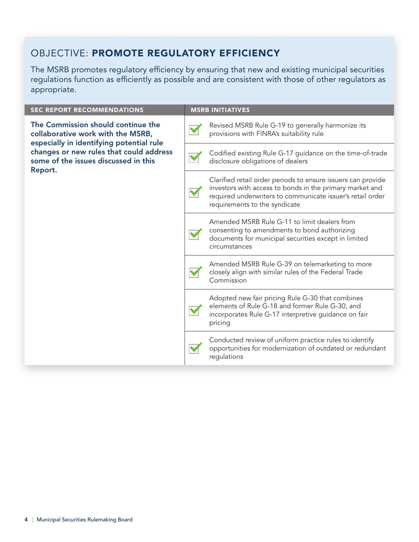## OBJECTIVE: PROMOTE REGULATORY EFFICIENCY

The MSRB promotes regulatory efficiency by ensuring that new and existing municipal securities regulations function as efficiently as possible and are consistent with those of other regulators as appropriate.

| <b>SEC REPORT RECOMMENDATIONS</b>                                                                                                                                                                                 | <b>MSRB INITIATIVES</b> |                                                                                                                                                                                                                         |
|-------------------------------------------------------------------------------------------------------------------------------------------------------------------------------------------------------------------|-------------------------|-------------------------------------------------------------------------------------------------------------------------------------------------------------------------------------------------------------------------|
| The Commission should continue the<br>collaborative work with the MSRB,<br>especially in identifying potential rule<br>changes or new rules that could address<br>some of the issues discussed in this<br>Report. |                         | Revised MSRB Rule G-19 to generally harmonize its<br>provisions with FINRA's suitability rule                                                                                                                           |
|                                                                                                                                                                                                                   |                         | Codified existing Rule G-17 guidance on the time-of-trade<br>disclosure obligations of dealers                                                                                                                          |
|                                                                                                                                                                                                                   |                         | Clarified retail order periods to ensure issuers can provide<br>investors with access to bonds in the primary market and<br>required underwriters to communicate issuer's retail order<br>requirements to the syndicate |
|                                                                                                                                                                                                                   |                         | Amended MSRB Rule G-11 to limit dealers from<br>consenting to amendments to bond authorizing<br>documents for municipal securities except in limited<br>circumstances                                                   |
|                                                                                                                                                                                                                   |                         | Amended MSRB Rule G-39 on telemarketing to more<br>closely align with similar rules of the Federal Trade<br>Commission                                                                                                  |
|                                                                                                                                                                                                                   |                         | Adopted new fair pricing Rule G-30 that combines<br>elements of Rule G-18 and former Rule G-30, and<br>incorporates Rule G-17 interpretive guidance on fair<br>pricing                                                  |
|                                                                                                                                                                                                                   |                         | Conducted review of uniform practice rules to identify<br>opportunities for modernization of outdated or redundant<br>regulations                                                                                       |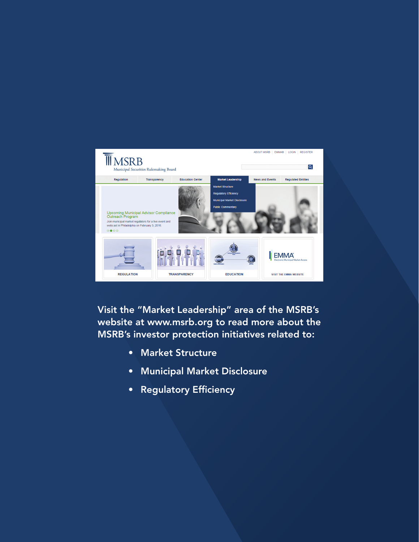

Visit the "Market Leadership" area of the MSRB's website at [www.msrb.org](http://www.msrb.org) to read more about the MSRB's investor protection initiatives related to:

- Market Structure
- Municipal Market Disclosure
- Regulatory Efficiency